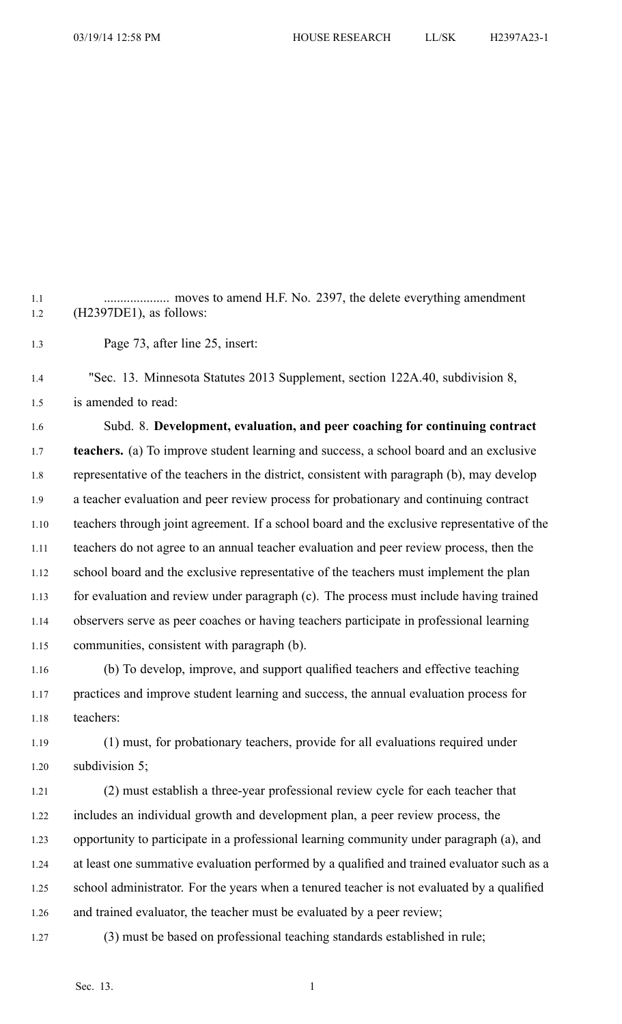1.1 .................... moves to amend H.F. No. 2397, the delete everything amendment 1.2 (H2397DE1), as follows:

1.3 Page 73, after line 25, insert:

1.4 "Sec. 13. Minnesota Statutes 2013 Supplement, section 122A.40, subdivision 8, 1.5 is amended to read:

1.6 Subd. 8. **Development, evaluation, and peer coaching for continuing contract** 1.7 **teachers.** (a) To improve student learning and success, <sup>a</sup> school board and an exclusive 1.8 representative of the teachers in the district, consistent with paragraph (b), may develop 1.9 <sup>a</sup> teacher evaluation and peer review process for probationary and continuing contract 1.10 teachers through joint agreement. If <sup>a</sup> school board and the exclusive representative of the 1.11 teachers do not agree to an annual teacher evaluation and peer review process, then the 1.12 school board and the exclusive representative of the teachers must implement the plan 1.13 for evaluation and review under paragraph (c). The process must include having trained 1.14 observers serve as peer coaches or having teachers participate in professional learning 1.15 communities, consistent with paragraph (b).

1.16 (b) To develop, improve, and suppor<sup>t</sup> qualified teachers and effective teaching 1.17 practices and improve student learning and success, the annual evaluation process for 1.18 teachers:

1.19 (1) must, for probationary teachers, provide for all evaluations required under 1.20 subdivision 5;

1.21 (2) must establish <sup>a</sup> three-year professional review cycle for each teacher that 1.22 includes an individual growth and development plan, <sup>a</sup> peer review process, the 1.23 opportunity to participate in <sup>a</sup> professional learning community under paragraph (a), and 1.24 at least one summative evaluation performed by <sup>a</sup> qualified and trained evaluator such as <sup>a</sup> 1.25 school administrator. For the years when <sup>a</sup> tenured teacher is not evaluated by <sup>a</sup> qualified 1.26 and trained evaluator, the teacher must be evaluated by <sup>a</sup> peer review;

1.27 (3) must be based on professional teaching standards established in rule;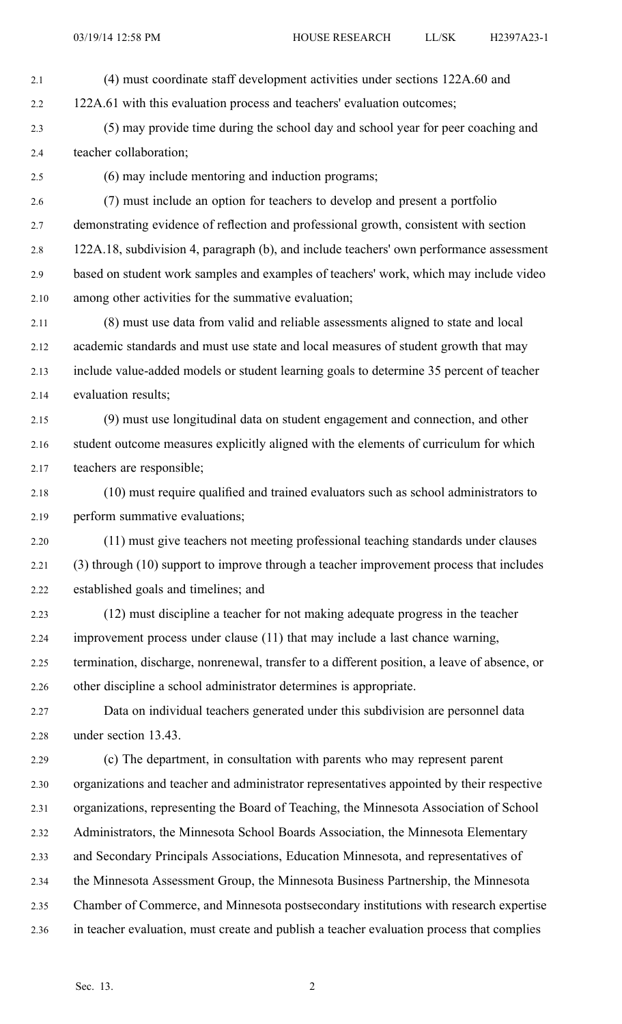2.1 (4) must coordinate staff development activities under sections 122A.60 and

2.2 122A.61 with this evaluation process and teachers' evaluation outcomes;

- 2.3 (5) may provide time during the school day and school year for peer coaching and 2.4 teacher collaboration;
- 

2.5 (6) may include mentoring and induction programs;

2.6 (7) must include an option for teachers to develop and presen<sup>t</sup> <sup>a</sup> portfolio 2.7 demonstrating evidence of reflection and professional growth, consistent with section 2.8 122A.18, subdivision 4, paragraph (b), and include teachers' own performance assessment 2.9 based on student work samples and examples of teachers' work, which may include video 2.10 among other activities for the summative evaluation;

2.11 (8) must use data from valid and reliable assessments aligned to state and local 2.12 academic standards and must use state and local measures of student growth that may 2.13 include value-added models or student learning goals to determine 35 percen<sup>t</sup> of teacher 2.14 evaluation results;

2.15 (9) must use longitudinal data on student engagemen<sup>t</sup> and connection, and other 2.16 student outcome measures explicitly aligned with the elements of curriculum for which 2.17 teachers are responsible;

2.18 (10) must require qualified and trained evaluators such as school administrators to 2.19 perform summative evaluations;

2.20 (11) must give teachers not meeting professional teaching standards under clauses 2.21 (3) through (10) suppor<sup>t</sup> to improve through <sup>a</sup> teacher improvement process that includes 2.22 established goals and timelines; and

2.23 (12) must discipline <sup>a</sup> teacher for not making adequate progress in the teacher 2.24 improvement process under clause (11) that may include <sup>a</sup> last chance warning,

2.25 termination, discharge, nonrenewal, transfer to <sup>a</sup> different position, <sup>a</sup> leave of absence, or 2.26 other discipline <sup>a</sup> school administrator determines is appropriate.

2.27 Data on individual teachers generated under this subdivision are personnel data 2.28 under section 13.43.

2.29 (c) The department, in consultation with parents who may represen<sup>t</sup> paren<sup>t</sup> 2.30 organizations and teacher and administrator representatives appointed by their respective 2.31 organizations, representing the Board of Teaching, the Minnesota Association of School 2.32 Administrators, the Minnesota School Boards Association, the Minnesota Elementary 2.33 and Secondary Principals Associations, Education Minnesota, and representatives of 2.34 the Minnesota Assessment Group, the Minnesota Business Partnership, the Minnesota 2.35 Chamber of Commerce, and Minnesota postsecondary institutions with research expertise 2.36 in teacher evaluation, must create and publish <sup>a</sup> teacher evaluation process that complies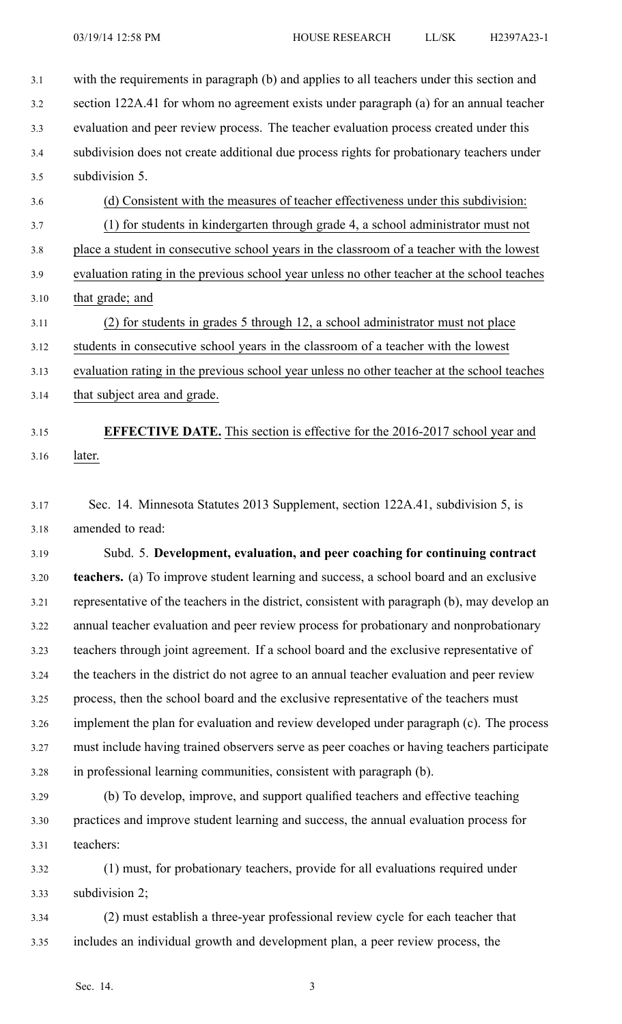3.1 with the requirements in paragraph (b) and applies to all teachers under this section and 3.2 section 122A.41 for whom no agreemen<sup>t</sup> exists under paragraph (a) for an annual teacher 3.3 evaluation and peer review process. The teacher evaluation process created under this 3.4 subdivision does not create additional due process rights for probationary teachers under 3.5 subdivision 5. 3.6 (d) Consistent with the measures of teacher effectiveness under this subdivision: 3.7 (1) for students in kindergarten through grade 4, <sup>a</sup> school administrator must not 3.8 place <sup>a</sup> student in consecutive school years in the classroom of <sup>a</sup> teacher with the lowest 3.9 evaluation rating in the previous school year unless no other teacher at the school teaches 3.10 that grade; and 3.11 (2) for students in grades 5 through 12, <sup>a</sup> school administrator must not place 3.12 students in consecutive school years in the classroom of <sup>a</sup> teacher with the lowest 3.13 evaluation rating in the previous school year unless no other teacher at the school teaches 3.14 that subject area and grade.

## 3.15 **EFFECTIVE DATE.** This section is effective for the 2016-2017 school year and 3.16 later.

3.17 Sec. 14. Minnesota Statutes 2013 Supplement, section 122A.41, subdivision 5, is 3.18 amended to read:

3.19 Subd. 5. **Development, evaluation, and peer coaching for continuing contract** 3.20 **teachers.** (a) To improve student learning and success, <sup>a</sup> school board and an exclusive 3.21 representative of the teachers in the district, consistent with paragraph (b), may develop an 3.22 annual teacher evaluation and peer review process for probationary and nonprobationary 3.23 teachers through joint agreement. If <sup>a</sup> school board and the exclusive representative of 3.24 the teachers in the district do not agree to an annual teacher evaluation and peer review 3.25 process, then the school board and the exclusive representative of the teachers must 3.26 implement the plan for evaluation and review developed under paragraph (c). The process 3.27 must include having trained observers serve as peer coaches or having teachers participate 3.28 in professional learning communities, consistent with paragraph (b).

- 3.29 (b) To develop, improve, and suppor<sup>t</sup> qualified teachers and effective teaching 3.30 practices and improve student learning and success, the annual evaluation process for 3.31 teachers:
- 3.32 (1) must, for probationary teachers, provide for all evaluations required under 3.33 subdivision 2;
- 3.34 (2) must establish <sup>a</sup> three-year professional review cycle for each teacher that 3.35 includes an individual growth and development plan, <sup>a</sup> peer review process, the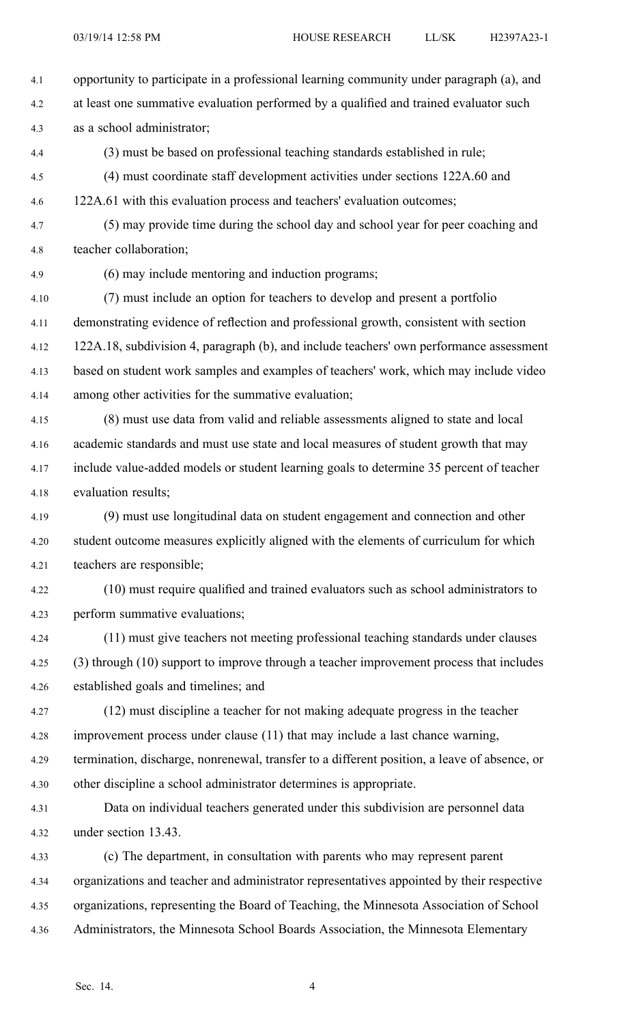4.1 opportunity to participate in <sup>a</sup> professional learning community under paragraph (a), and 4.2 at least one summative evaluation performed by <sup>a</sup> qualified and trained evaluator such 4.3 as <sup>a</sup> school administrator; 4.4 (3) must be based on professional teaching standards established in rule; 4.5 (4) must coordinate staff development activities under sections 122A.60 and 4.6 122A.61 with this evaluation process and teachers' evaluation outcomes; 4.7 (5) may provide time during the school day and school year for peer coaching and 4.8 teacher collaboration; 4.9 (6) may include mentoring and induction programs; 4.10 (7) must include an option for teachers to develop and presen<sup>t</sup> <sup>a</sup> portfolio 4.11 demonstrating evidence of reflection and professional growth, consistent with section 4.12 122A.18, subdivision 4, paragraph (b), and include teachers' own performance assessment 4.13 based on student work samples and examples of teachers' work, which may include video 4.14 among other activities for the summative evaluation; 4.15 (8) must use data from valid and reliable assessments aligned to state and local 4.16 academic standards and must use state and local measures of student growth that may 4.17 include value-added models or student learning goals to determine 35 percen<sup>t</sup> of teacher 4.18 evaluation results; 4.19 (9) must use longitudinal data on student engagemen<sup>t</sup> and connection and other 4.20 student outcome measures explicitly aligned with the elements of curriculum for which 4.21 teachers are responsible; 4.22 (10) must require qualified and trained evaluators such as school administrators to 4.23 perform summative evaluations; 4.24 (11) must give teachers not meeting professional teaching standards under clauses 4.25 (3) through (10) suppor<sup>t</sup> to improve through <sup>a</sup> teacher improvement process that includes 4.26 established goals and timelines; and 4.27 (12) must discipline <sup>a</sup> teacher for not making adequate progress in the teacher 4.28 improvement process under clause (11) that may include <sup>a</sup> last chance warning, 4.29 termination, discharge, nonrenewal, transfer to <sup>a</sup> different position, <sup>a</sup> leave of absence, or 4.30 other discipline <sup>a</sup> school administrator determines is appropriate. 4.31 Data on individual teachers generated under this subdivision are personnel data 4.32 under section 13.43. 4.33 (c) The department, in consultation with parents who may represen<sup>t</sup> paren<sup>t</sup> 4.34 organizations and teacher and administrator representatives appointed by their respective 4.35 organizations, representing the Board of Teaching, the Minnesota Association of School 4.36 Administrators, the Minnesota School Boards Association, the Minnesota Elementary